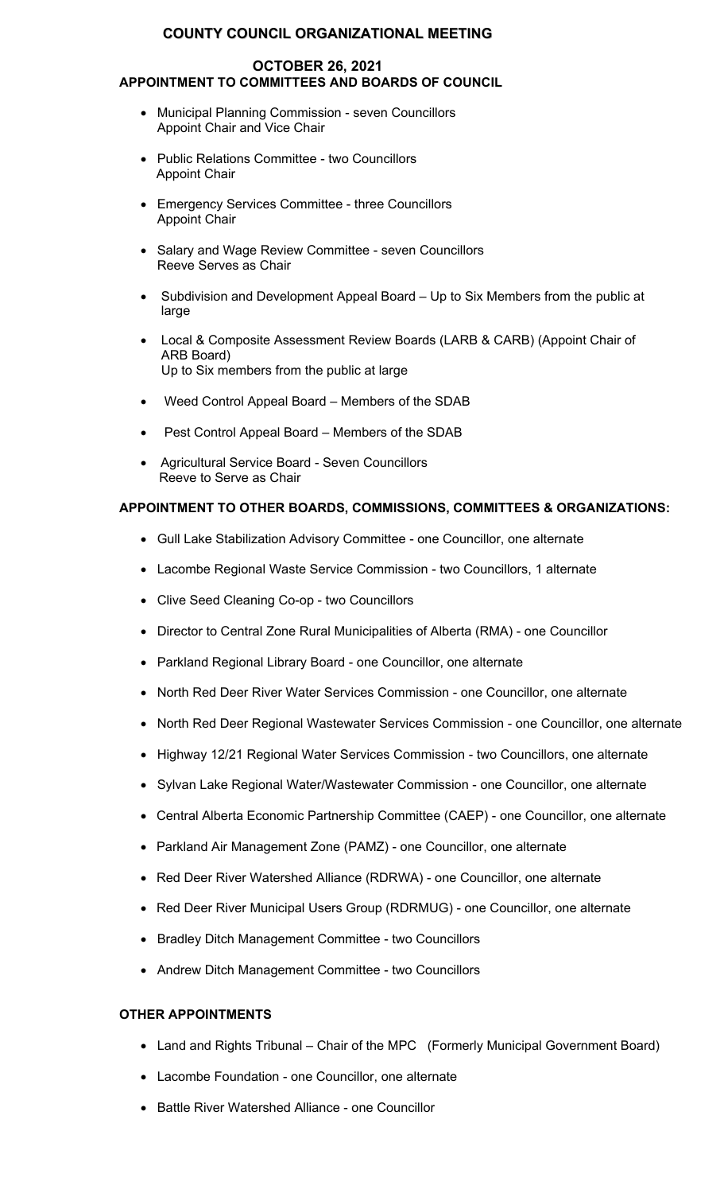# **COUNTY COUNCIL ORGANIZATIONAL MEETING**

# **OCTOBER 26, 2021 APPOINTMENT TO COMMITTEES AND BOARDS OF COUNCIL**

- Municipal Planning Commission seven Councillors Appoint Chair and Vice Chair
- Public Relations Committee two Councillors Appoint Chair
- Emergency Services Committee three Councillors Appoint Chair
- Salary and Wage Review Committee seven Councillors Reeve Serves as Chair
- Subdivision and Development Appeal Board Up to Six Members from the public at large
- Local & Composite Assessment Review Boards (LARB & CARB) (Appoint Chair of ARB Board) Up to Six members from the public at large
- Weed Control Appeal Board Members of the SDAB
- Pest Control Appeal Board Members of the SDAB
- Agricultural Service Board Seven Councillors Reeve to Serve as Chair

## **APPOINTMENT TO OTHER BOARDS, COMMISSIONS, COMMITTEES & ORGANIZATIONS:**

- Gull Lake Stabilization Advisory Committee one Councillor, one alternate
- Lacombe Regional Waste Service Commission two Councillors, 1 alternate
- Clive Seed Cleaning Co-op two Councillors
- Director to Central Zone Rural Municipalities of Alberta (RMA) one Councillor
- Parkland Regional Library Board one Councillor, one alternate
- North Red Deer River Water Services Commission one Councillor, one alternate
- North Red Deer Regional Wastewater Services Commission one Councillor, one alternate
- Highway 12/21 Regional Water Services Commission two Councillors, one alternate
- Sylvan Lake Regional Water/Wastewater Commission one Councillor, one alternate
- Central Alberta Economic Partnership Committee (CAEP) one Councillor, one alternate
- Parkland Air Management Zone (PAMZ) one Councillor, one alternate
- Red Deer River Watershed Alliance (RDRWA) one Councillor, one alternate
- Red Deer River Municipal Users Group (RDRMUG) one Councillor, one alternate
- Bradley Ditch Management Committee two Councillors
- Andrew Ditch Management Committee two Councillors

#### **OTHER APPOINTMENTS**

- Land and Rights Tribunal Chair of the MPC (Formerly Municipal Government Board)
- Lacombe Foundation one Councillor, one alternate
- Battle River Watershed Alliance one Councillor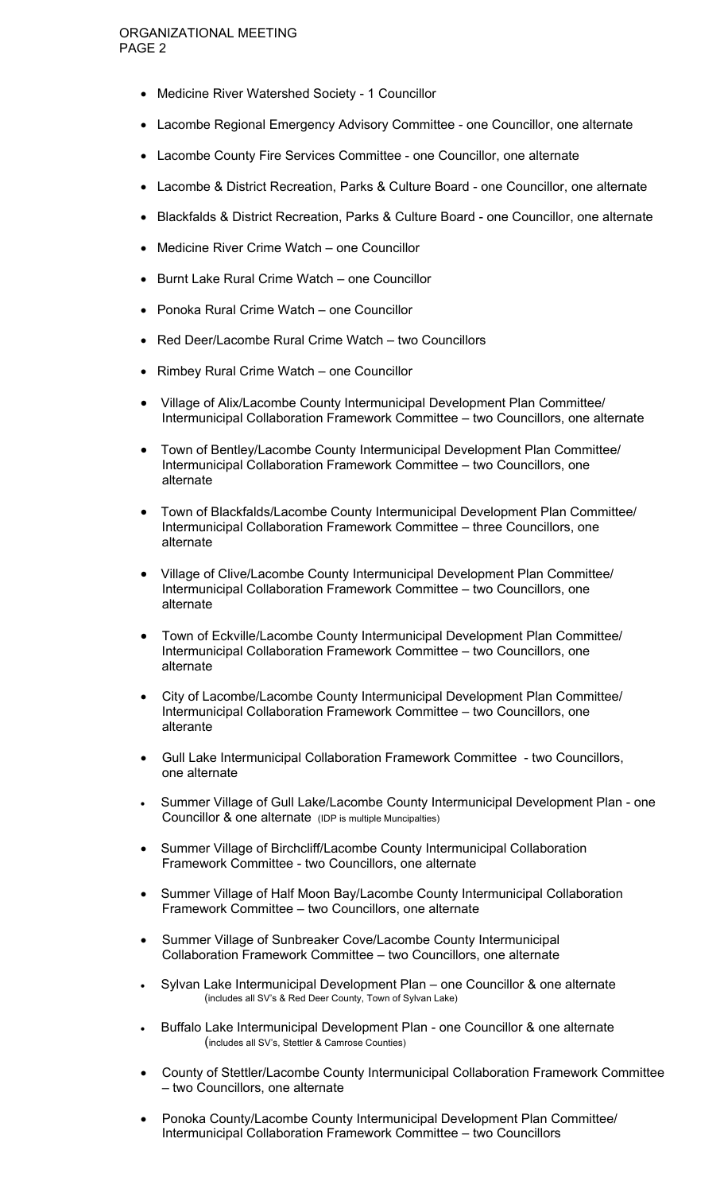## ORGANIZATIONAL MEETING PAGE 2

- Medicine River Watershed Society 1 Councillor
- Lacombe Regional Emergency Advisory Committee one Councillor, one alternate
- Lacombe County Fire Services Committee one Councillor, one alternate
- Lacombe & District Recreation, Parks & Culture Board one Councillor, one alternate
- Blackfalds & District Recreation, Parks & Culture Board one Councillor, one alternate
- Medicine River Crime Watch one Councillor
- Burnt Lake Rural Crime Watch one Councillor
- Ponoka Rural Crime Watch one Councillor
- Red Deer/Lacombe Rural Crime Watch two Councillors
- Rimbey Rural Crime Watch one Councillor
- Village of Alix/Lacombe County Intermunicipal Development Plan Committee/ Intermunicipal Collaboration Framework Committee – two Councillors, one alternate
- Town of Bentley/Lacombe County Intermunicipal Development Plan Committee/ Intermunicipal Collaboration Framework Committee – two Councillors, one alternate
- Town of Blackfalds/Lacombe County Intermunicipal Development Plan Committee/ Intermunicipal Collaboration Framework Committee – three Councillors, one alternate
- Village of Clive/Lacombe County Intermunicipal Development Plan Committee/ Intermunicipal Collaboration Framework Committee – two Councillors, one alternate
- Town of Eckville/Lacombe County Intermunicipal Development Plan Committee/ Intermunicipal Collaboration Framework Committee – two Councillors, one alternate
- City of Lacombe/Lacombe County Intermunicipal Development Plan Committee/ Intermunicipal Collaboration Framework Committee – two Councillors, one alterante
- Gull Lake Intermunicipal Collaboration Framework Committee two Councillors, one alternate
- Summer Village of Gull Lake/Lacombe County Intermunicipal Development Plan one Councillor & one alternate (IDP is multiple Muncipalties)
- Summer Village of Birchcliff/Lacombe County Intermunicipal Collaboration Framework Committee - two Councillors, one alternate
- Summer Village of Half Moon Bay/Lacombe County Intermunicipal Collaboration Framework Committee – two Councillors, one alternate
- Summer Village of Sunbreaker Cove/Lacombe County Intermunicipal Collaboration Framework Committee – two Councillors, one alternate
- Sylvan Lake Intermunicipal Development Plan one Councillor & one alternate (includes all SV's & Red Deer County, Town of Sylvan Lake)
- Buffalo Lake Intermunicipal Development Plan one Councillor & one alternate (includes all SV's, Stettler & Camrose Counties)
- County of Stettler/Lacombe County Intermunicipal Collaboration Framework Committee – two Councillors, one alternate
- Ponoka County/Lacombe County Intermunicipal Development Plan Committee/ Intermunicipal Collaboration Framework Committee – two Councillors